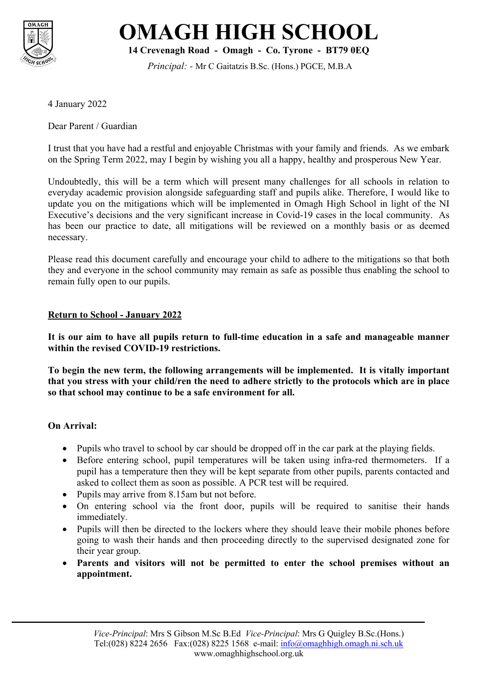



**14 Crevenagh Road - Omagh - Co. Tyrone - BT79 0EQ**

*Principal: -* Mr C Gaitatzis B.Sc. (Hons.) PGCE, M.B.A

4 January 2022

Dear Parent / Guardian

I trust that you have had a restful and enjoyable Christmas with your family and friends. As we embark on the Spring Term 2022, may I begin by wishing you all a happy, healthy and prosperous New Year.

Undoubtedly, this will be a term which will present many challenges for all schools in relation to everyday academic provision alongside safeguarding staff and pupils alike. Therefore, I would like to update you on the mitigations which will be implemented in Omagh High School in light of the NI Executive's decisions and the very significant increase in Covid-19 cases in the local community. As has been our practice to date, all mitigations will be reviewed on a monthly basis or as deemed necessary.

Please read this document carefully and encourage your child to adhere to the mitigations so that both they and everyone in the school community may remain as safe as possible thus enabling the school to remain fully open to our pupils.

#### **Return to School - January 2022**

**It is our aim to have all pupils return to full-time education in a safe and manageable manner within the revised COVID-19 restrictions.**

**To begin the new term, the following arrangements will be implemented. It is vitally important that you stress with your child/ren the need to adhere strictly to the protocols which are in place so that school may continue to be a safe environment for all.**

#### **On Arrival:**

- Pupils who travel to school by car should be dropped off in the car park at the playing fields.
- Before entering school, pupil temperatures will be taken using infra-red thermometers. If a pupil has a temperature then they will be kept separate from other pupils, parents contacted and asked to collect them as soon as possible. A PCR test will be required.
- Pupils may arrive from 8.15am but not before.
- On entering school via the front door, pupils will be required to sanitise their hands immediately.
- Pupils will then be directed to the lockers where they should leave their mobile phones before going to wash their hands and then proceeding directly to the supervised designated zone for their year group.
- Parents and visitors will not be permitted to enter the school premises without an **appointment.**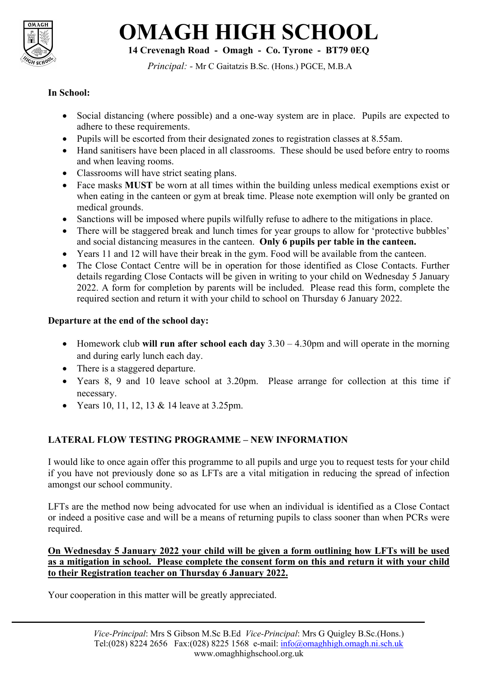

# **OMAGH HIGH SCHOOL**

**14 Crevenagh Road - Omagh - Co. Tyrone - BT79 0EQ**

*Principal: -* Mr C Gaitatzis B.Sc. (Hons.) PGCE, M.B.A

# **In School:**

- Social distancing (where possible) and a one-way system are in place. Pupils are expected to adhere to these requirements.
- Pupils will be escorted from their designated zones to registration classes at 8.55am.
- Hand sanitisers have been placed in all classrooms. These should be used before entry to rooms and when leaving rooms.
- Classrooms will have strict seating plans.
- Face masks **MUST** be worn at all times within the building unless medical exemptions exist or when eating in the canteen or gym at break time. Please note exemption will only be granted on medical grounds.
- Sanctions will be imposed where pupils wilfully refuse to adhere to the mitigations in place.
- There will be staggered break and lunch times for year groups to allow for 'protective bubbles' and social distancing measures in the canteen. **Only 6 pupils per table in the canteen.**
- Years 11 and 12 will have their break in the gym. Food will be available from the canteen.
- The Close Contact Centre will be in operation for those identified as Close Contacts. Further details regarding Close Contacts will be given in writing to your child on Wednesday 5 January 2022. A form for completion by parents will be included. Please read this form, complete the required section and return it with your child to school on Thursday 6 January 2022.

### **Departure at the end of the school day:**

- Homework club **will run after school each day** 3.30 4.30pm and will operate in the morning and during early lunch each day.
- There is a staggered departure.
- Years 8, 9 and 10 leave school at 3.20pm. Please arrange for collection at this time if necessary.
- Years 10, 11, 12, 13 & 14 leave at  $3.25$ pm.

## **LATERAL FLOW TESTING PROGRAMME – NEW INFORMATION**

I would like to once again offer this programme to all pupils and urge you to request tests for your child if you have not previously done so as LFTs are a vital mitigation in reducing the spread of infection amongst our school community.

LFTs are the method now being advocated for use when an individual is identified as a Close Contact or indeed a positive case and will be a means of returning pupils to class sooner than when PCRs were required.

**On Wednesday 5 January 2022 your child will be given a form outlining how LFTs will be used as a mitigation in school. Please complete the consent form on this and return it with your child to their Registration teacher on Thursday 6 January 2022.**

Your cooperation in this matter will be greatly appreciated.